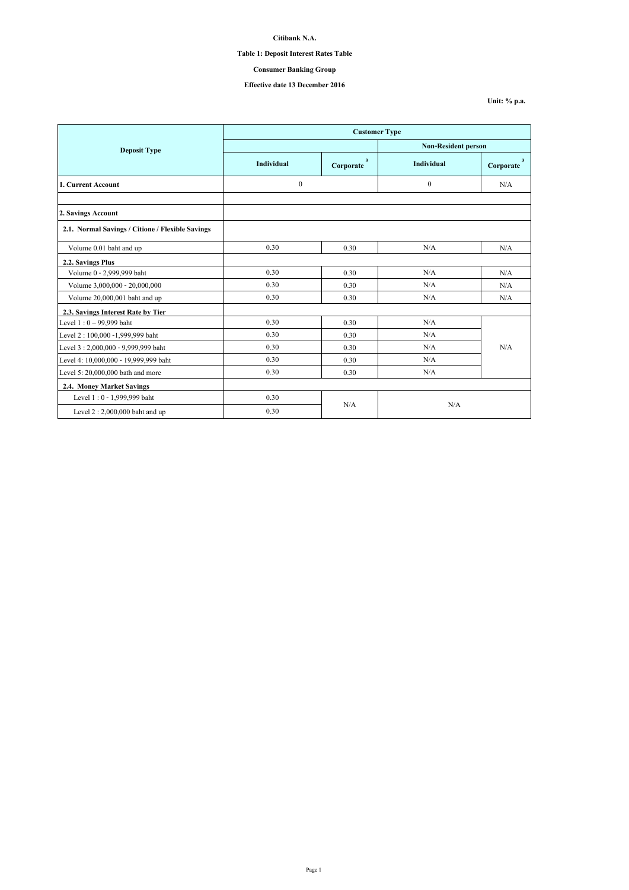## **Table 1: Deposit Interest Rates Table**

## **Consumer Banking Group**

# **Effective date 13 December 2016**

**Unit: % p.a.**

|                                                  | <b>Customer Type</b> |                                      |                            |                                      |
|--------------------------------------------------|----------------------|--------------------------------------|----------------------------|--------------------------------------|
| <b>Deposit Type</b>                              |                      |                                      | <b>Non-Resident person</b> |                                      |
|                                                  | Individual           | $\overline{\mathbf{3}}$<br>Corporate | Individual                 | $\overline{\mathbf{3}}$<br>Corporate |
| 1. Current Account                               | $\boldsymbol{0}$     |                                      | $\theta$                   | N/A                                  |
|                                                  |                      |                                      |                            |                                      |
| 2. Savings Account                               |                      |                                      |                            |                                      |
| 2.1. Normal Savings / Citione / Flexible Savings |                      |                                      |                            |                                      |
| Volume 0.01 baht and up                          | 0.30                 | 0.30                                 | N/A                        | N/A                                  |
| 2.2. Savings Plus                                |                      |                                      |                            |                                      |
| Volume 0 - 2,999,999 baht                        | 0.30                 | 0.30                                 | N/A                        | N/A                                  |
| Volume 3,000,000 - 20,000,000                    | 0.30                 | 0.30                                 | N/A                        | N/A                                  |
| Volume 20,000,001 baht and up                    | 0.30                 | 0.30                                 | N/A                        | N/A                                  |
| 2.3. Savings Interest Rate by Tier               |                      |                                      |                            |                                      |
| Level 1:0 - 99,999 baht                          | 0.30                 | 0.30                                 | N/A                        |                                      |
| Level 2: 100,000 -1,999,999 baht                 | 0.30                 | 0.30                                 | N/A                        |                                      |
| Level 3:2,000,000 - 9,999,999 baht               | 0.30                 | 0.30                                 | N/A                        | N/A                                  |
| Level 4: 10,000,000 - 19,999,999 baht            | 0.30                 | 0.30                                 | N/A                        |                                      |
| Level 5: 20,000,000 bath and more                | 0.30                 | 0.30                                 | N/A                        |                                      |
| 2.4. Money Market Savings                        |                      |                                      |                            |                                      |
| Level 1:0 - 1,999,999 baht                       | 0.30                 |                                      |                            |                                      |
| Level $2:2,000,000$ baht and up                  | 0.30                 | N/A                                  | N/A                        |                                      |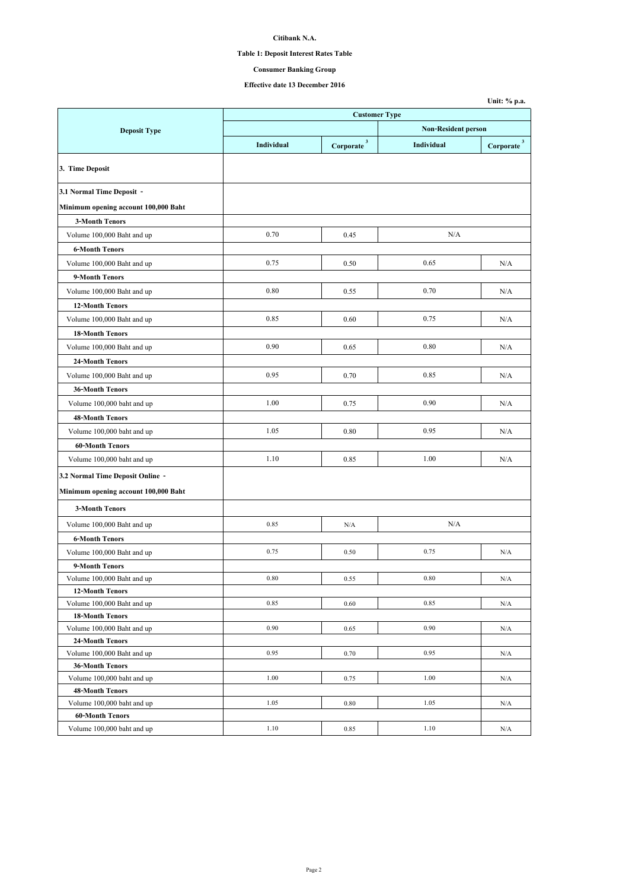## **Table 1: Deposit Interest Rates Table**

**Consumer Banking Group**

|                                      |                      |                        |                            | Unit: % p.a.           |  |
|--------------------------------------|----------------------|------------------------|----------------------------|------------------------|--|
|                                      | <b>Customer Type</b> |                        |                            |                        |  |
| <b>Deposit Type</b>                  |                      |                        | <b>Non-Resident person</b> |                        |  |
|                                      | Individual           | Corporate <sup>3</sup> | Individual                 | Corporate <sup>3</sup> |  |
| 3. Time Deposit                      |                      |                        |                            |                        |  |
| 3.1 Normal Time Deposit -            |                      |                        |                            |                        |  |
| Minimum opening account 100,000 Baht |                      |                        |                            |                        |  |
| <b>3-Month Tenors</b>                |                      |                        |                            |                        |  |
| Volume 100,000 Baht and up           | 0.70                 | 0.45                   | N/A                        |                        |  |
| <b>6-Month Tenors</b>                |                      |                        |                            |                        |  |
| Volume 100,000 Baht and up           | 0.75                 | 0.50                   | 0.65                       | N/A                    |  |
| 9-Month Tenors                       |                      |                        |                            |                        |  |
| Volume 100,000 Baht and up           | 0.80                 | 0.55                   | 0.70                       | N/A                    |  |
| <b>12-Month Tenors</b>               |                      |                        |                            |                        |  |
|                                      | 0.85                 | 0.60                   | 0.75                       | N/A                    |  |
| Volume 100,000 Baht and up           |                      |                        |                            |                        |  |
| <b>18-Month Tenors</b>               |                      |                        |                            |                        |  |
| Volume 100,000 Baht and up           | 0.90                 | 0.65                   | 0.80                       | N/A                    |  |
| 24-Month Tenors                      |                      |                        |                            |                        |  |
| Volume 100,000 Baht and up           | 0.95                 | 0.70                   | 0.85                       | N/A                    |  |
| <b>36-Month Tenors</b>               |                      |                        |                            |                        |  |
| Volume 100,000 baht and up           | 1.00                 | 0.75                   | 0.90                       | N/A                    |  |
| <b>48-Month Tenors</b>               |                      |                        |                            |                        |  |
| Volume 100,000 baht and up           | 1.05                 | 0.80                   | 0.95                       | N/A                    |  |
| <b>60-Month Tenors</b>               |                      |                        |                            |                        |  |
| Volume 100,000 baht and up           | 1.10                 | 0.85                   | 1.00                       | N/A                    |  |
| 3.2 Normal Time Deposit Online -     |                      |                        |                            |                        |  |
| Minimum opening account 100,000 Baht |                      |                        |                            |                        |  |
| <b>3-Month Tenors</b>                |                      |                        |                            |                        |  |
| Volume 100,000 Baht and up           | 0.85                 | N/A                    | N/A                        |                        |  |
| <b>6-Month Tenors</b>                |                      |                        |                            |                        |  |
| Volume 100,000 Baht and up           | 0.75                 | 0.50                   | 0.75                       | N/A                    |  |
| 9-Month Tenors                       |                      |                        |                            |                        |  |
| Volume 100,000 Baht and up           | 0.80                 | 0.55                   | 0.80                       | N/A                    |  |
| <b>12-Month Tenors</b>               |                      |                        |                            |                        |  |
| Volume 100,000 Baht and up           | 0.85                 | 0.60                   | 0.85                       | N/A                    |  |
| <b>18-Month Tenors</b>               |                      |                        |                            |                        |  |
| Volume 100,000 Baht and up           | 0.90                 | 0.65                   | 0.90                       | N/A                    |  |
| 24-Month Tenors                      |                      |                        |                            |                        |  |
| Volume 100,000 Baht and up           | 0.95                 | 0.70                   | 0.95                       | N/A                    |  |
| <b>36-Month Tenors</b>               |                      |                        |                            |                        |  |
| Volume 100,000 baht and up           | 1.00                 | 0.75                   | 1.00                       | N/A                    |  |
| <b>48-Month Tenors</b>               |                      |                        |                            |                        |  |
| Volume 100,000 baht and up           | 1.05                 | 0.80                   | 1.05                       | N/A                    |  |
| <b>60-Month Tenors</b>               |                      |                        |                            |                        |  |
| Volume 100,000 baht and up           | 1.10                 | 0.85                   | 1.10                       | N/A                    |  |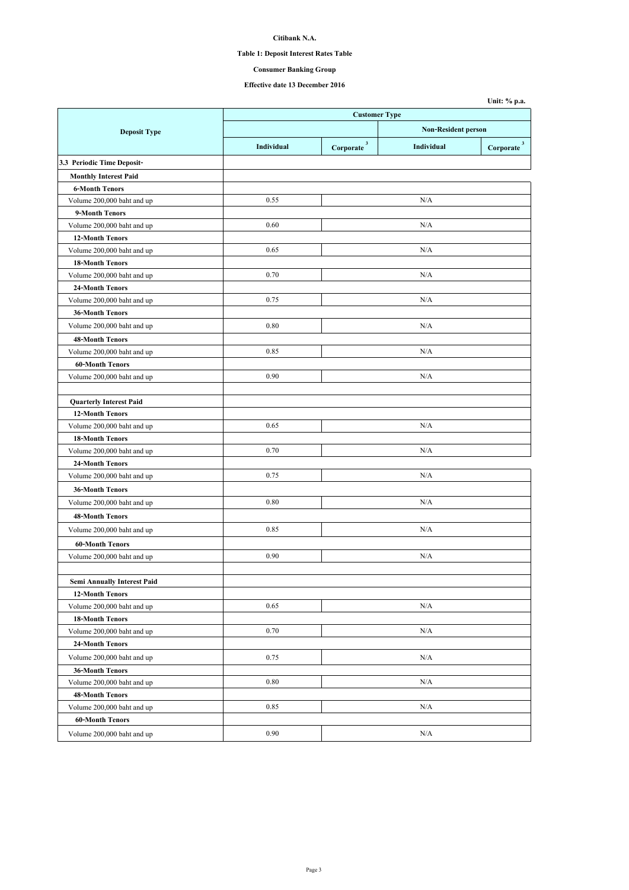## **Table 1: Deposit Interest Rates Table**

**Consumer Banking Group**

|                                    |                      |                            |            | Unit: % p.a.                  |
|------------------------------------|----------------------|----------------------------|------------|-------------------------------|
|                                    | <b>Customer Type</b> |                            |            |                               |
| <b>Deposit Type</b>                |                      | <b>Non-Resident person</b> |            |                               |
|                                    | Individual           | Corporate <sup>3</sup>     | Individual | $\bf{Corporate}$ <sup>3</sup> |
| 3.3 Periodic Time Deposit-         |                      |                            |            |                               |
| <b>Monthly Interest Paid</b>       |                      |                            |            |                               |
| <b>6-Month Tenors</b>              |                      |                            |            |                               |
| Volume 200,000 baht and up         | 0.55                 |                            | N/A        |                               |
| 9-Month Tenors                     |                      |                            |            |                               |
| Volume 200,000 baht and up         | 0.60                 |                            | N/A        |                               |
| <b>12-Month Tenors</b>             |                      |                            |            |                               |
| Volume 200,000 baht and up         | 0.65                 |                            | N/A        |                               |
| <b>18-Month Tenors</b>             |                      |                            |            |                               |
| Volume 200,000 baht and up         | 0.70                 |                            | N/A        |                               |
| 24-Month Tenors                    |                      |                            |            |                               |
| Volume 200,000 baht and up         | 0.75                 |                            | N/A        |                               |
| <b>36-Month Tenors</b>             |                      |                            |            |                               |
| Volume 200,000 baht and up         | 0.80                 |                            | N/A        |                               |
| <b>48-Month Tenors</b>             |                      |                            |            |                               |
| Volume 200,000 baht and up         | 0.85                 |                            | N/A        |                               |
| <b>60-Month Tenors</b>             |                      |                            |            |                               |
| Volume 200,000 baht and up         | 0.90                 |                            | N/A        |                               |
|                                    |                      |                            |            |                               |
| <b>Quarterly Interest Paid</b>     |                      |                            |            |                               |
| <b>12-Month Tenors</b>             |                      |                            |            |                               |
| Volume 200,000 baht and up         | 0.65                 |                            | N/A        |                               |
| <b>18-Month Tenors</b>             |                      |                            |            |                               |
| Volume 200,000 baht and up         | 0.70                 |                            | N/A        |                               |
| 24-Month Tenors                    |                      |                            |            |                               |
| Volume 200,000 baht and up         | 0.75                 |                            | N/A        |                               |
| <b>36-Month Tenors</b>             |                      |                            |            |                               |
| Volume 200,000 baht and up         | 0.80                 |                            | N/A        |                               |
| <b>48-Month Tenors</b>             |                      |                            |            |                               |
| Volume 200,000 baht and up         | 0.85                 |                            | N/A        |                               |
| <b>60-Month Tenors</b>             |                      |                            |            |                               |
| Volume 200,000 baht and up         | 0.90                 |                            | N/A        |                               |
|                                    |                      |                            |            |                               |
| <b>Semi Annually Interest Paid</b> |                      |                            |            |                               |
| <b>12-Month Tenors</b>             |                      |                            |            |                               |
| Volume 200,000 baht and up         | 0.65                 |                            | N/A        |                               |
| <b>18-Month Tenors</b>             |                      |                            |            |                               |
| Volume 200,000 baht and up         | 0.70                 |                            | N/A        |                               |
| 24-Month Tenors                    |                      |                            |            |                               |
| Volume 200,000 baht and up         | 0.75                 |                            | N/A        |                               |
| <b>36-Month Tenors</b>             |                      |                            |            |                               |
| Volume 200,000 baht and up         | 0.80                 |                            | N/A        |                               |
| 48-Month Tenors                    |                      |                            |            |                               |
| Volume 200,000 baht and up         | 0.85                 |                            | N/A        |                               |
| 60-Month Tenors                    |                      |                            |            |                               |
| Volume 200,000 baht and up         | 0.90                 |                            | N/A        |                               |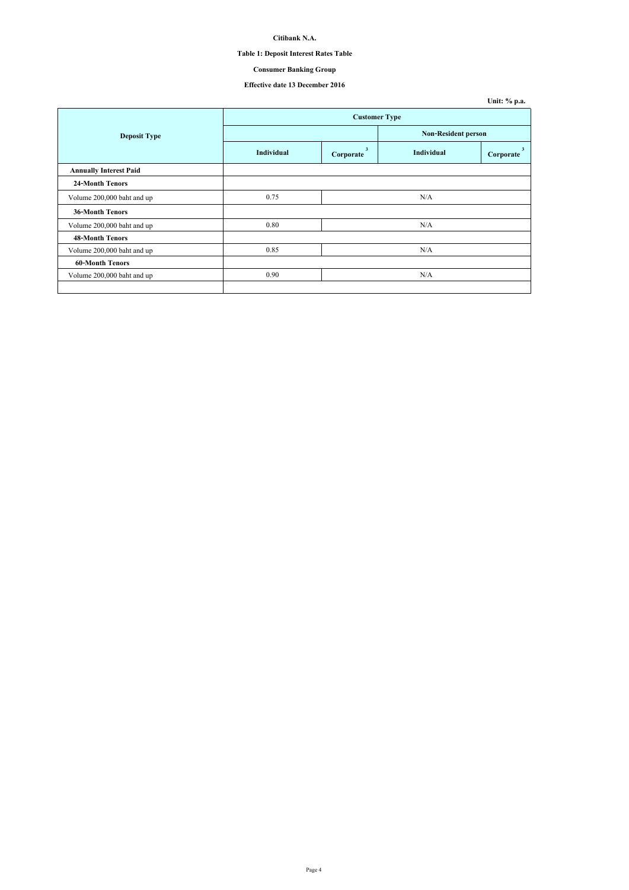## **Table 1: Deposit Interest Rates Table**

## **Consumer Banking Group**

|                               |                      |                |                            | Unit: % p.a. |
|-------------------------------|----------------------|----------------|----------------------------|--------------|
|                               | <b>Customer Type</b> |                |                            |              |
| <b>Deposit Type</b>           |                      |                | <b>Non-Resident person</b> |              |
|                               | Individual           | 3<br>Corporate | Individual                 | Corporate    |
| <b>Annually Interest Paid</b> |                      |                |                            |              |
| <b>24-Month Tenors</b>        |                      |                |                            |              |
| Volume 200,000 baht and up    | 0.75                 |                | N/A                        |              |
| <b>36-Month Tenors</b>        |                      |                |                            |              |
| Volume 200,000 baht and up    | 0.80                 |                | N/A                        |              |
| <b>48-Month Tenors</b>        |                      |                |                            |              |
| Volume 200,000 baht and up    | 0.85                 |                | N/A                        |              |
| <b>60-Month Tenors</b>        |                      |                |                            |              |
| Volume 200,000 baht and up    | 0.90                 |                | N/A                        |              |
|                               |                      |                |                            |              |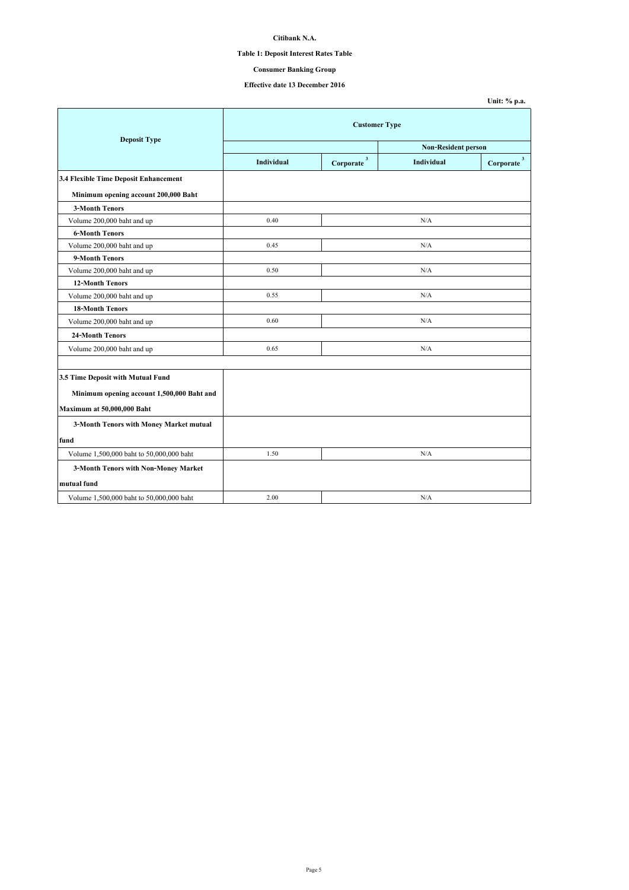## **Table 1: Deposit Interest Rates Table**

## **Consumer Banking Group**

|                                            |                      |                          |            | Unit: % p.a.           |  |
|--------------------------------------------|----------------------|--------------------------|------------|------------------------|--|
| <b>Deposit Type</b>                        | <b>Customer Type</b> |                          |            |                        |  |
|                                            | Non-Resident person  |                          |            |                        |  |
|                                            | <b>Individual</b>    | $\mathbf 3$<br>Corporate | Individual | Corporate <sup>3</sup> |  |
| 3.4 Flexible Time Deposit Enhancement      |                      |                          |            |                        |  |
| Minimum opening account 200,000 Baht       |                      |                          |            |                        |  |
| <b>3-Month Tenors</b>                      |                      |                          |            |                        |  |
| Volume 200,000 baht and up                 | 0.40                 |                          | N/A        |                        |  |
| <b>6-Month Tenors</b>                      |                      |                          |            |                        |  |
| Volume 200,000 baht and up                 | 0.45                 |                          | N/A        |                        |  |
| 9-Month Tenors                             |                      |                          |            |                        |  |
| Volume 200,000 baht and up                 | 0.50                 |                          | N/A        |                        |  |
| <b>12-Month Tenors</b>                     |                      |                          |            |                        |  |
| Volume 200,000 baht and up                 | 0.55                 |                          | N/A        |                        |  |
| <b>18-Month Tenors</b>                     |                      |                          |            |                        |  |
| Volume 200,000 baht and up                 | 0.60                 |                          | N/A        |                        |  |
| <b>24-Month Tenors</b>                     |                      |                          |            |                        |  |
| Volume 200,000 baht and up                 | 0.65                 |                          | N/A        |                        |  |
|                                            |                      |                          |            |                        |  |
| 3.5 Time Deposit with Mutual Fund          |                      |                          |            |                        |  |
| Minimum opening account 1,500,000 Baht and |                      |                          |            |                        |  |
| Maximum at 50,000,000 Baht                 |                      |                          |            |                        |  |
| 3-Month Tenors with Money Market mutual    |                      |                          |            |                        |  |
| fund                                       |                      |                          |            |                        |  |
| Volume 1,500,000 baht to 50,000,000 baht   | 1.50                 |                          | N/A        |                        |  |
| 3-Month Tenors with Non-Money Market       |                      |                          |            |                        |  |
| mutual fund                                |                      |                          |            |                        |  |
| Volume 1,500,000 baht to 50,000,000 baht   | 2.00                 |                          | N/A        |                        |  |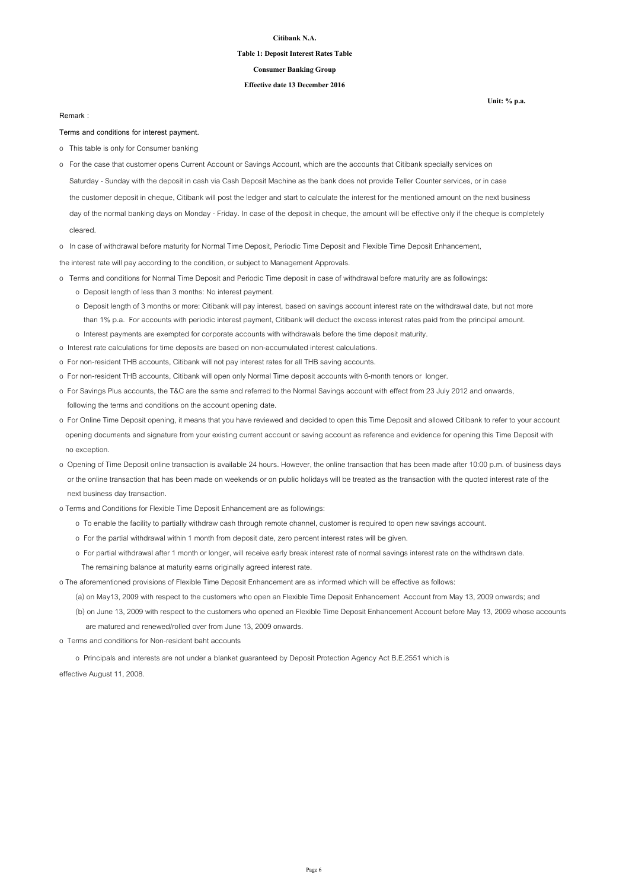### **Table 1: Deposit Interest Rates Table**

## **Consumer Banking Group**

### **Effective date 13 December 2016**

#### **Remark :**

#### **Terms and conditions for interest payment.**

- o This table is only for Consumer banking
- Saturday Sunday with the deposit in cash via Cash Deposit Machine as the bank does not provide Teller Counter services, or in case the customer deposit in cheque, Citibank will post the ledger and start to calculate the interest for the mentioned amount on the next business day of the normal banking days on Monday - Friday. In case of the deposit in cheque, the amount will be effective only if the cheque is completely o For the case that customer opens Current Account or Savings Account, which are the accounts that Citibank specially services on

cleared.

o In case of withdrawal before maturity for Normal Time Deposit, Periodic Time Deposit and Flexible Time Deposit Enhancement,

the interest rate will pay according to the condition, or subject to Management Approvals.

- o Terms and conditions for Normal Time Deposit and Periodic Time deposit in case of withdrawal before maturity are as followings: o Deposit length of less than 3 months: No interest payment.
	- o Deposit length of 3 months or more: Citibank will pay interest, based on savings account interest rate on the withdrawal date, but not more than 1% p.a. For accounts with periodic interest payment, Citibank will deduct the excess interest rates paid from the principal amount. o Interest payments are exempted for corporate accounts with withdrawals before the time deposit maturity.
- o Interest rate calculations for time deposits are based on non-accumulated interest calculations.
- o For non-resident THB accounts, Citibank will not pay interest rates for all THB saving accounts.
- o For non-resident THB accounts, Citibank will open only Normal Time deposit accounts with 6-month tenors or longer.
- o For Savings Plus accounts, the T&C are the same and referred to the Normal Savings account with effect from 23 July 2012 and onwards, following the terms and conditions on the account opening date.
- o For Online Time Deposit opening, it means that you have reviewed and decided to open this Time Deposit and allowed Citibank to refer to your account opening documents and signature from your existing current account or saving account as reference and evidence for opening this Time Deposit with no exception.
- o Opening of Time Deposit online transaction is available 24 hours. However, the online transaction that has been made after 10:00 p.m. of business days or the online transaction that has been made on weekends or on public holidays will be treated as the transaction with the quoted interest rate of the next business day transaction.
- o Terms and Conditions for Flexible Time Deposit Enhancement are as followings:
	- o To enable the facility to partially withdraw cash through remote channel, customer is required to open new savings account.
	- o For the partial withdrawal within 1 month from deposit date, zero percent interest rates will be given.
	- o For partial withdrawal after 1 month or longer, will receive early break interest rate of normal savings interest rate on the withdrawn date. The remaining balance at maturity earns originally agreed interest rate.

o The aforementioned provisions of Flexible Time Deposit Enhancement are as informed which will be effective as follows:

(a) on May13, 2009 with respect to the customers who open an Flexible Time Deposit Enhancement Account from May 13, 2009 onwards; and

 (b) on June 13, 2009 with respect to the customers who opened an Flexible Time Deposit Enhancement Account before May 13, 2009 whose accounts are matured and renewed/rolled over from June 13, 2009 onwards.

o Terms and conditions for Non-resident baht accounts

o Principals and interests are not under a blanket guaranteed by Deposit Protection Agency Act B.E.2551 which is

effective August 11, 2008.

Page 6

**Unit: % p.a.**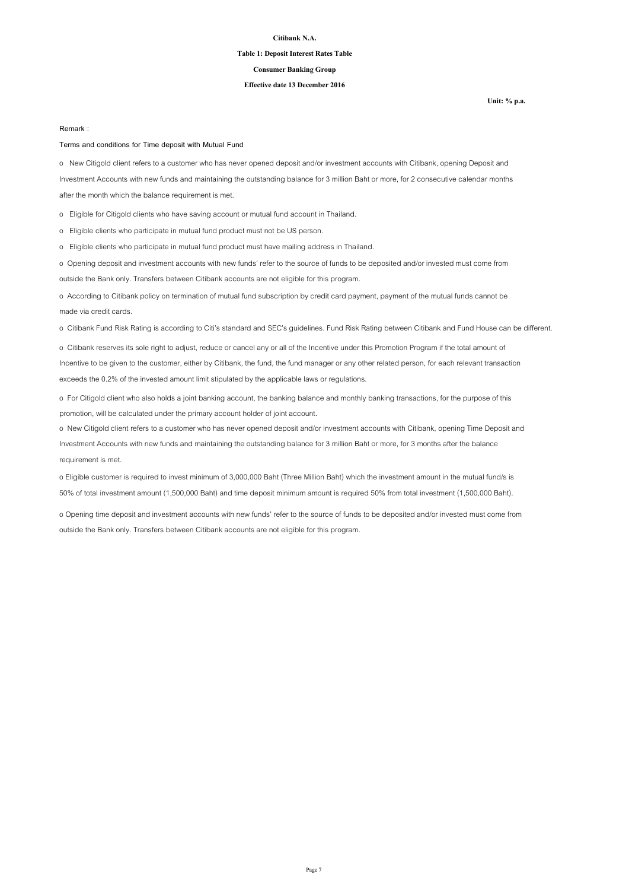### **Table 1: Deposit Interest Rates Table**

## **Consumer Banking Group**

### **Effective date 13 December 2016**

**Unit: % p.a.**

#### **Remark :**

### **Terms and conditions for Time deposit with Mutual Fund**

o New Citigold client refers to a customer who has never opened deposit and/or investment accounts with Citibank, opening Deposit and Investment Accounts with new funds and maintaining the outstanding balance for 3 million Baht or more, for 2 consecutive calendar months after the month which the balance requirement is met.

o Eligible for Citigold clients who have saving account or mutual fund account in Thailand.

o Eligible clients who participate in mutual fund product must not be US person.

o Eligible clients who participate in mutual fund product must have mailing address in Thailand.

o Opening deposit and investment accounts with new funds' refer to the source of funds to be deposited and/or invested must come from outside the Bank only. Transfers between Citibank accounts are not eligible for this program.

o According to Citibank policy on termination of mutual fund subscription by credit card payment, payment of the mutual funds cannot be made via credit cards.

o Citibank Fund Risk Rating is according to Citi's standard and SEC's guidelines. Fund Risk Rating between Citibank and Fund House can be different.

o Citibank reserves its sole right to adjust, reduce or cancel any or all of the Incentive under this Promotion Program if the total amount of Incentive to be given to the customer, either by Citibank, the fund, the fund manager or any other related person, for each relevant transaction exceeds the 0.2% of the invested amount limit stipulated by the applicable laws or regulations.

o For Citigold client who also holds a joint banking account, the banking balance and monthly banking transactions, for the purpose of this promotion, will be calculated under the primary account holder of joint account.

o New Citigold client refers to a customer who has never opened deposit and/or investment accounts with Citibank, opening Time Deposit and Investment Accounts with new funds and maintaining the outstanding balance for 3 million Baht or more, for 3 months after the balance requirement is met.

o Eligible customer is required to invest minimum of 3,000,000 Baht (Three Million Baht) which the investment amount in the mutual fund/s is 50% of total investment amount (1,500,000 Baht) and time deposit minimum amount is required 50% from total investment (1,500,000 Baht).

o Opening time deposit and investment accounts with new funds' refer to the source of funds to be deposited and/or invested must come from outside the Bank only. Transfers between Citibank accounts are not eligible for this program.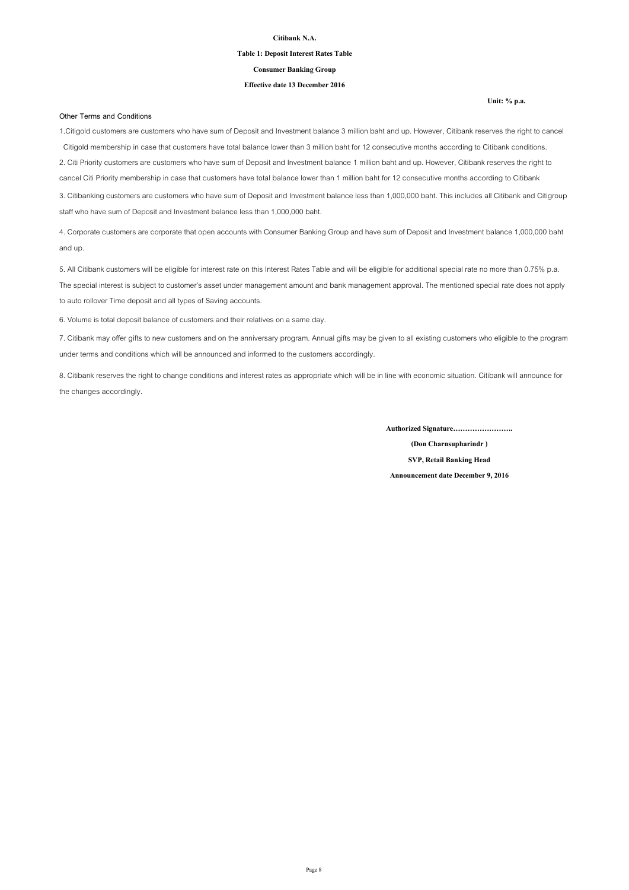### **Table 1: Deposit Interest Rates Table**

**Consumer Banking Group**

### **Effective date 13 December 2016**

#### **Other Terms and Conditions**

**Unit: % p.a.**

1.Citigold customers are customers who have sum of Deposit and Investment balance 3 million baht and up. However, Citibank reserves the right to cancel Citigold membership in case that customers have total balance lower than 3 million baht for 12 consecutive months according to Citibank conditions. 2. Citi Priority customers are customers who have sum of Deposit and Investment balance 1 million baht and up. However, Citibank reserves the right to cancel Citi Priority membership in case that customers have total balance lower than 1 million baht for 12 consecutive months according to Citibank

3. Citibanking customers are customers who have sum of Deposit and Investment balance less than 1,000,000 baht. This includes all Citibank and Citigroup staff who have sum of Deposit and Investment balance less than 1,000,000 baht.

4. Corporate customers are corporate that open accounts with Consumer Banking Group and have sum of Deposit and Investment balance 1,000,000 baht and up.

5. All Citibank customers will be eligible for interest rate on this Interest Rates Table and will be eligible for additional special rate no more than 0.75% p.a. The special interest is subject to customer's asset under management amount and bank management approval. The mentioned special rate does not apply to auto rollover Time deposit and all types of Saving accounts.

6. Volume is total deposit balance of customers and their relatives on a same day.

7. Citibank may offer gifts to new customers and on the anniversary program. Annual gifts may be given to all existing customers who eligible to the program under terms and conditions which will be announced and informed to the customers accordingly.

8. Citibank reserves the right to change conditions and interest rates as appropriate which will be in line with economic situation. Citibank will announce for the changes accordingly.

**Authorized Signature…………………….**

**(Don Charnsupharindr ) SVP, Retail Banking Head**

**Announcement date December 9, 2016**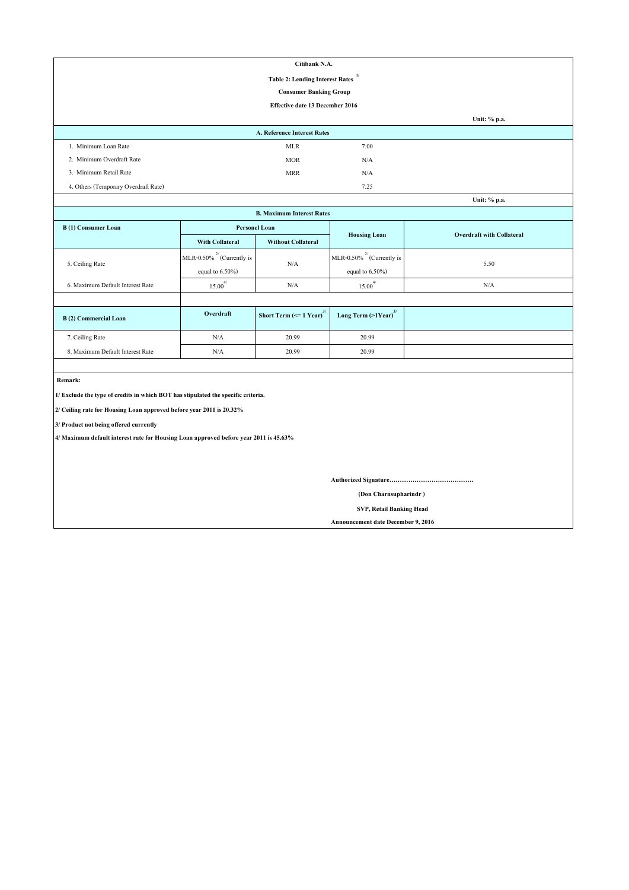| Citibank N.A.                                          |                                 |      |              |  |  |
|--------------------------------------------------------|---------------------------------|------|--------------|--|--|
| $\mathbf{1}$<br><b>Table 2: Lending Interest Rates</b> |                                 |      |              |  |  |
|                                                        | <b>Consumer Banking Group</b>   |      |              |  |  |
|                                                        | Effective date 13 December 2016 |      |              |  |  |
|                                                        |                                 |      | Unit: % p.a. |  |  |
|                                                        | A. Reference Interest Rates     |      |              |  |  |
| 1. Minimum Loan Rate                                   | <b>MLR</b>                      | 7.00 |              |  |  |
| 2. Minimum Overdraft Rate                              | <b>MOR</b>                      | N/A  |              |  |  |
| 3. Minimum Retail Rate                                 | <b>MRR</b>                      | N/A  |              |  |  |
| 4. Others (Temporary Overdraft Rate)                   |                                 | 7.25 |              |  |  |
|                                                        |                                 |      | Unit: % p.a. |  |  |

| Unit: % p.a.                     |                                  |                                               |                                     |                                  |  |  |
|----------------------------------|----------------------------------|-----------------------------------------------|-------------------------------------|----------------------------------|--|--|
|                                  | <b>B. Maximum Interest Rates</b> |                                               |                                     |                                  |  |  |
| B(1) Consumer Loan               | <b>Personel Loan</b>             |                                               |                                     | <b>Overdraft with Collateral</b> |  |  |
|                                  | <b>With Collateral</b>           | <b>Without Collateral</b>                     | <b>Housing Loan</b>                 |                                  |  |  |
| 5. Ceiling Rate                  | MLR-0.50% $^{27}$ (Currently is  | N/A                                           | MLR-0.50% $^{27}$ (Currently is     |                                  |  |  |
|                                  | equal to $6.50\%$ )              |                                               | 5.50<br>equal to $6.50\%$ )         |                                  |  |  |
| 6. Maximum Default Interest Rate | $15.00^{4/}$                     | N/A                                           | $15.00^{4/}$                        | N/A                              |  |  |
|                                  |                                  |                                               |                                     |                                  |  |  |
| <b>B</b> (2) Commercial Loan     | Overdraft                        | Short Term $\left(\leq 1$ Year) <sup>3/</sup> | Long Term $(>1$ Year) <sup>3/</sup> |                                  |  |  |
| 7. Ceiling Rate                  | N/A                              | 20.99                                         | 20.99                               |                                  |  |  |
| 8. Maximum Default Interest Rate | N/A                              | 20.99                                         | 20.99                               |                                  |  |  |

 **Remark:**

**1/ Exclude the type of credits in which BOT has stipulated the specific criteria.**

**2/ Ceiling rate for Housing Loan approved before year 2011 is 20.32%**

**3/ Product not being offered currently**

**4/ Maximum default interest rate for Housing Loan approved before year 2011 is 45.63%**

**Authorized Signature………………………………….**

 **(Don Charnsupharindr )**

 **SVP, Retail Banking Head**

**Announcement date December 9, 2016**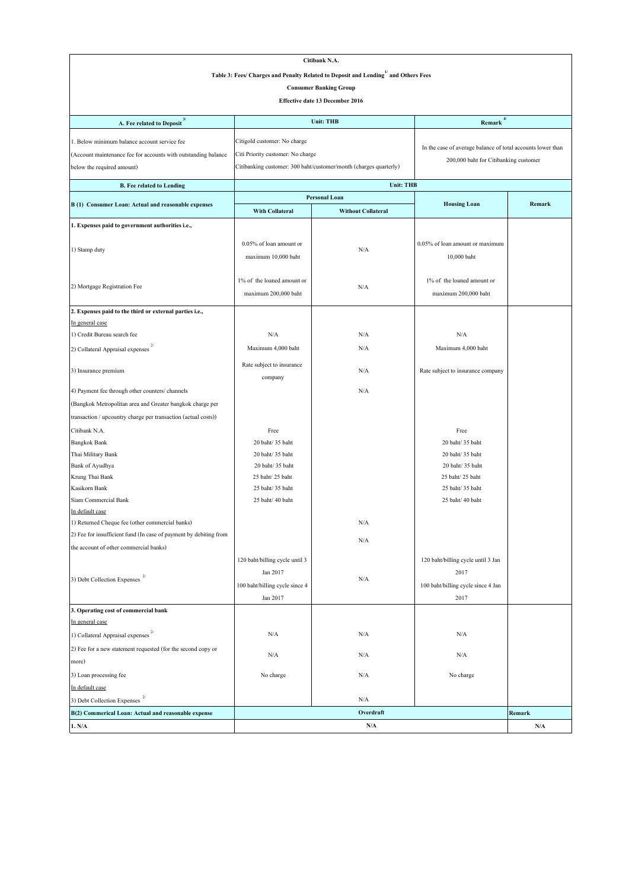|                                                                                                 | Citibank N.A.                       |                                                                   |                                                             |                         |  |
|-------------------------------------------------------------------------------------------------|-------------------------------------|-------------------------------------------------------------------|-------------------------------------------------------------|-------------------------|--|
| Table 3: Fees/ Charges and Penalty Related to Deposit and Lending <sup>1/</sup> and Others Fees |                                     |                                                                   |                                                             |                         |  |
| <b>Consumer Banking Group</b>                                                                   |                                     |                                                                   |                                                             |                         |  |
|                                                                                                 |                                     | Effective date 13 December 2016                                   |                                                             |                         |  |
|                                                                                                 |                                     |                                                                   |                                                             |                         |  |
| A. Fee related to Deposit <sup>3/</sup>                                                         |                                     | <b>Unit: THB</b>                                                  | $4/$<br>Remark                                              |                         |  |
| 1. Below minimum balance account service fee                                                    | Citigold customer: No charge        |                                                                   |                                                             |                         |  |
| (Account maintenance fee for accounts with outstanding balance                                  | Citi Priority customer: No charge   |                                                                   | In the case of average balance of total accounts lower than |                         |  |
| below the required amount)                                                                      |                                     | Citibanking customer: 300 baht/customer/month (charges quarterly) | 200,000 baht for Citibanking customer                       |                         |  |
|                                                                                                 |                                     |                                                                   |                                                             |                         |  |
| <b>B.</b> Fee related to Lending                                                                |                                     | <b>Unit: THB</b><br><b>Personal Loan</b>                          |                                                             |                         |  |
| B (1) Consumer Loan: Actual and reasonable expenses                                             |                                     |                                                                   | <b>Housing Loan</b>                                         | Remark                  |  |
|                                                                                                 | With Collateral                     | <b>Without Collateral</b>                                         |                                                             |                         |  |
| 1. Expenses paid to government authorities i.e.,                                                |                                     |                                                                   |                                                             |                         |  |
|                                                                                                 | 0.05% of loan amount or             |                                                                   | 0.05% of loan amount or maximum                             |                         |  |
| 1) Stamp duty                                                                                   | maximum 10,000 baht                 | N/A                                                               | 10,000 baht                                                 |                         |  |
|                                                                                                 |                                     |                                                                   |                                                             |                         |  |
|                                                                                                 | 1% of the loaned amount or          |                                                                   | 1% of the loaned amount or                                  |                         |  |
| 2) Mortgage Registration Fee                                                                    | maximum 200,000 baht                | N/A                                                               | maximum 200,000 baht                                        |                         |  |
| 2. Expenses paid to the third or external parties i.e.,                                         |                                     |                                                                   |                                                             |                         |  |
| In general case                                                                                 |                                     |                                                                   |                                                             |                         |  |
| 1) Credit Bureau search fee                                                                     | N/A                                 | N/A                                                               | N/A                                                         |                         |  |
| 2) Collateral Appraisal expenses                                                                | Maximum 4,000 baht                  | N/A                                                               | Maximum 4,000 baht                                          |                         |  |
|                                                                                                 |                                     |                                                                   |                                                             |                         |  |
| 3) Insurance premium                                                                            | Rate subject to insurance           | N/A                                                               | Rate subject to insurance company                           |                         |  |
|                                                                                                 | company                             |                                                                   |                                                             |                         |  |
| 4) Payment fee through other counters/ channels                                                 |                                     | N/A                                                               |                                                             |                         |  |
| (Bangkok Metropolitan area and Greater bangkok charge per                                       |                                     |                                                                   |                                                             |                         |  |
| transaction / upcountry charge per transaction (actual costs))                                  |                                     |                                                                   |                                                             |                         |  |
| Citibank N.A.                                                                                   | Free                                |                                                                   | Free                                                        |                         |  |
| <b>Bangkok Bank</b>                                                                             | 20 baht/ 35 baht                    |                                                                   | 20 baht/ 35 baht                                            |                         |  |
| Thai Military Bank                                                                              | 20 baht/ 35 baht                    |                                                                   | 20 baht/35 baht                                             |                         |  |
| Bank of Ayudhya<br>Krung Thai Bank                                                              | 20 baht/ 35 baht<br>25 baht/25 baht |                                                                   | 20 baht/ 35 baht<br>25 baht/ 25 baht                        |                         |  |
| Kasikorn Bank                                                                                   | 25 baht/ 35 baht                    |                                                                   | 25 baht/ 35 baht                                            |                         |  |
| Siam Commercial Bank                                                                            | 25 baht/ 40 baht                    |                                                                   | 25 baht/ 40 baht                                            |                         |  |
| In default case                                                                                 |                                     |                                                                   |                                                             |                         |  |
| 1) Returned Cheque fee (other commercial banks)                                                 |                                     | N/A                                                               |                                                             |                         |  |
| 2) Fee for insufficient fund (In case of payment by debiting from                               |                                     |                                                                   |                                                             |                         |  |
| the account of other commercial banks)                                                          |                                     | N/A                                                               |                                                             |                         |  |
|                                                                                                 | 120 baht/billing cycle until 3      |                                                                   | 120 baht/billing cycle until 3 Jan                          |                         |  |
|                                                                                                 | Jan 2017                            |                                                                   | 2017                                                        |                         |  |
| 3) Debt Collection Expenses $^{\mathrm{2/}}$                                                    | 100 baht/billing cycle since 4      | N/A                                                               | 100 baht/billing cycle since 4 Jan                          |                         |  |
|                                                                                                 | Jan 2017                            |                                                                   | 2017                                                        |                         |  |
| 3. Operating cost of commercial bank                                                            |                                     |                                                                   |                                                             |                         |  |
| In general case                                                                                 |                                     |                                                                   |                                                             |                         |  |
| 1) Collateral Appraisal expenses                                                                | N/A                                 | N/A                                                               | N/A                                                         |                         |  |
| 2) Fee for a new statement requested (for the second copy or                                    |                                     |                                                                   |                                                             |                         |  |
| more)                                                                                           | N/A                                 | N/A                                                               | N/A                                                         |                         |  |
| 3) Loan processing fee                                                                          | No charge                           | N/A                                                               | No charge                                                   |                         |  |
| In default case                                                                                 |                                     |                                                                   |                                                             |                         |  |
| 3) Debt Collection Expenses                                                                     |                                     | N/A                                                               |                                                             |                         |  |
| B(2) Commerical Loan: Actual and reasonable expense                                             |                                     | Overdraft                                                         |                                                             | Remark                  |  |
| 1. N/A                                                                                          |                                     | N/A                                                               |                                                             | $\mathbf{N}/\mathbf{A}$ |  |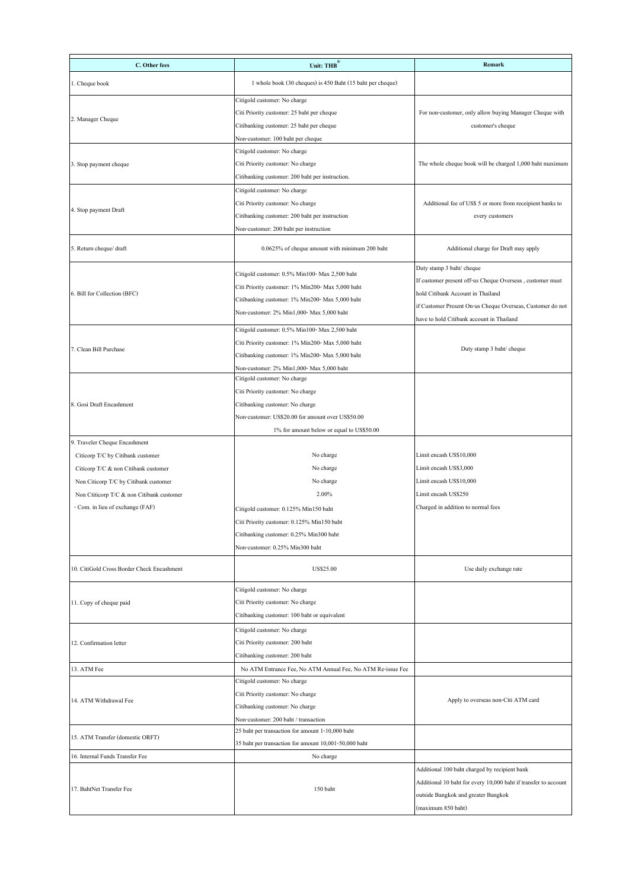| C. Other fees                              | Unit: THB $^{5/}$                                           | <b>Remark</b>                                                   |
|--------------------------------------------|-------------------------------------------------------------|-----------------------------------------------------------------|
|                                            |                                                             |                                                                 |
| 1. Cheque book                             | 1 whole book (30 cheques) is 450 Baht (15 baht per cheque)  |                                                                 |
|                                            | Citigold customer: No charge                                |                                                                 |
| 2. Manager Cheque                          | Citi Priority customer: 25 baht per cheque                  | For non-customer, only allow buying Manager Cheque with         |
|                                            | Citibanking customer: 25 baht per cheque                    | customer's cheque                                               |
|                                            | Non-customer: 100 baht per cheque                           |                                                                 |
|                                            | Citigold customer: No charge                                |                                                                 |
| 3. Stop payment cheque                     | Citi Priority customer: No charge                           | The whole cheque book will be charged 1,000 baht maximum        |
|                                            | Citibanking customer: 200 baht per instruction.             |                                                                 |
|                                            | Citigold customer: No charge                                |                                                                 |
| 4. Stop payment Draft                      | Citi Priority customer: No charge                           | Additional fee of US\$ 5 or more from receipient banks to       |
|                                            | Citibanking customer: 200 baht per instruction              | every customers                                                 |
|                                            | Non-customer: 200 baht per instruction                      |                                                                 |
| 5. Return cheque/ draft                    | 0.0625% of cheque amount with minimum 200 baht              | Additional charge for Draft may apply                           |
|                                            |                                                             | Duty stamp 3 baht/ cheque                                       |
|                                            | Citigold customer: 0.5% Min100- Max 2,500 baht              | If customer present off-us Cheque Overseas, customer must       |
| 6. Bill for Collection (BFC)               | Citi Priority customer: 1% Min200- Max 5,000 baht           | hold Citibank Account in Thailand                               |
|                                            | Citibanking customer: 1% Min200- Max 5,000 baht             | if Customer Present On-us Cheque Overseas, Customer do not      |
|                                            | Non-customer: 2% Min1,000- Max 5,000 baht                   | have to hold Citibank account in Thailand                       |
|                                            | Citigold customer: 0.5% Min100- Max 2,500 baht              |                                                                 |
|                                            | Citi Priority customer: 1% Min200- Max 5,000 baht           |                                                                 |
| 7. Clean Bill Purchase                     | Citibanking customer: 1% Min200- Max 5,000 baht             | Duty stamp 3 baht/ cheque                                       |
|                                            | Non-customer: 2% Min1,000- Max 5,000 baht                   |                                                                 |
|                                            | Citigold customer: No charge                                |                                                                 |
|                                            | Citi Priority customer: No charge                           |                                                                 |
| 8. Gosi Draft Encashment                   | Citibanking customer: No charge                             |                                                                 |
|                                            | Non-customer: US\$20.00 for amount over US\$50.00           |                                                                 |
|                                            | 1% for amount below or equal to US\$50.00                   |                                                                 |
| 9. Traveler Cheque Encashment              |                                                             |                                                                 |
| Citicorp T/C by Citibank customer          | No charge                                                   | Limit encash US\$10,000                                         |
| Citicorp T/C & non Citibank customer       | No charge                                                   | Limit encash US\$3,000                                          |
| Non Citicorp T/C by Citibank customer      | No charge                                                   | Limit encash US\$10,000                                         |
| Non Ctiticorp T/C & non Citibank customer  | 2.00%                                                       | Limit encash US\$250                                            |
| - Com. in lieu of exchange (FAF)           | Citigold customer: 0.125% Min150 baht                       | Charged in addition to normal fees                              |
|                                            | Citi Priority customer: 0.125% Min150 baht                  |                                                                 |
|                                            | Citibanking customer: 0.25% Min300 baht                     |                                                                 |
|                                            | Non-customer: 0.25% Min300 baht                             |                                                                 |
|                                            |                                                             |                                                                 |
| 10. CitiGold Cross Border Check Encashment | US\$25.00                                                   | Use daily exchange rate                                         |
|                                            | Citigold customer: No charge                                |                                                                 |
| 11. Copy of cheque paid                    | Citi Priority customer: No charge                           |                                                                 |
|                                            | Citibanking customer: 100 baht or equivalent                |                                                                 |
|                                            | Citigold customer: No charge                                |                                                                 |
| 12. Confirmation letter                    | Citi Priority customer: 200 baht                            |                                                                 |
|                                            | Citibanking customer: 200 baht                              |                                                                 |
| 13. ATM Fee                                | No ATM Entrance Fee, No ATM Annual Fee, No ATM Re-issue Fee |                                                                 |
|                                            | Citigold customer: No charge                                |                                                                 |
|                                            | Citi Priority customer: No charge                           |                                                                 |
| 14. ATM Withdrawal Fee                     | Citibanking customer: No charge                             | Apply to overseas non-Citi ATM card                             |
|                                            | Non-customer: 200 baht / transaction                        |                                                                 |
|                                            | 25 baht per transaction for amount 1-10,000 baht            |                                                                 |
| 15. ATM Transfer (domestic ORFT)           | 35 baht per transaction for amount 10,001-50,000 baht       |                                                                 |
| 16. Internal Funds Transfer Fee            | No charge                                                   |                                                                 |
|                                            |                                                             | Additional 100 baht charged by recipient bank                   |
|                                            |                                                             | Additional 10 baht for every 10,000 baht if transfer to account |
| 17. BahtNet Transfer Fee                   | 150 baht                                                    | outside Bangkok and greater Bangkok                             |
|                                            |                                                             | (maximum 850 baht)                                              |
|                                            |                                                             |                                                                 |